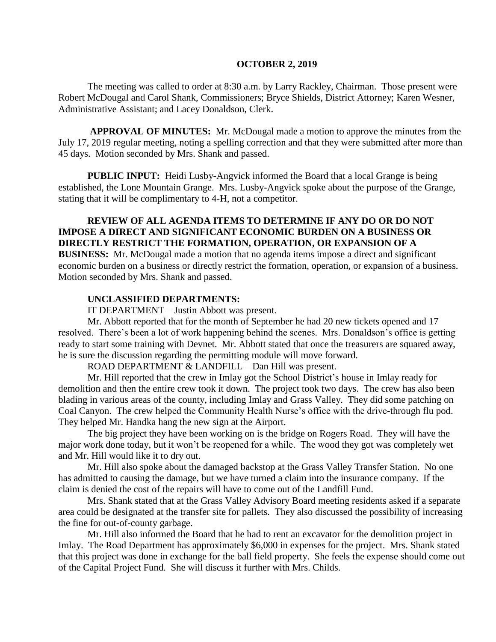#### **OCTOBER 2, 2019**

The meeting was called to order at 8:30 a.m. by Larry Rackley, Chairman. Those present were Robert McDougal and Carol Shank, Commissioners; Bryce Shields, District Attorney; Karen Wesner, Administrative Assistant; and Lacey Donaldson, Clerk.

**APPROVAL OF MINUTES:** Mr. McDougal made a motion to approve the minutes from the July 17, 2019 regular meeting, noting a spelling correction and that they were submitted after more than 45 days. Motion seconded by Mrs. Shank and passed.

**PUBLIC INPUT:** Heidi Lusby-Angvick informed the Board that a local Grange is being established, the Lone Mountain Grange. Mrs. Lusby-Angvick spoke about the purpose of the Grange, stating that it will be complimentary to 4-H, not a competitor.

## **REVIEW OF ALL AGENDA ITEMS TO DETERMINE IF ANY DO OR DO NOT IMPOSE A DIRECT AND SIGNIFICANT ECONOMIC BURDEN ON A BUSINESS OR DIRECTLY RESTRICT THE FORMATION, OPERATION, OR EXPANSION OF A**

**BUSINESS:** Mr. McDougal made a motion that no agenda items impose a direct and significant economic burden on a business or directly restrict the formation, operation, or expansion of a business. Motion seconded by Mrs. Shank and passed.

#### **UNCLASSIFIED DEPARTMENTS:**

IT DEPARTMENT – Justin Abbott was present.

Mr. Abbott reported that for the month of September he had 20 new tickets opened and 17 resolved. There's been a lot of work happening behind the scenes. Mrs. Donaldson's office is getting ready to start some training with Devnet. Mr. Abbott stated that once the treasurers are squared away, he is sure the discussion regarding the permitting module will move forward.

ROAD DEPARTMENT & LANDFILL – Dan Hill was present.

Mr. Hill reported that the crew in Imlay got the School District's house in Imlay ready for demolition and then the entire crew took it down. The project took two days. The crew has also been blading in various areas of the county, including Imlay and Grass Valley. They did some patching on Coal Canyon. The crew helped the Community Health Nurse's office with the drive-through flu pod. They helped Mr. Handka hang the new sign at the Airport.

The big project they have been working on is the bridge on Rogers Road. They will have the major work done today, but it won't be reopened for a while. The wood they got was completely wet and Mr. Hill would like it to dry out.

Mr. Hill also spoke about the damaged backstop at the Grass Valley Transfer Station. No one has admitted to causing the damage, but we have turned a claim into the insurance company. If the claim is denied the cost of the repairs will have to come out of the Landfill Fund.

Mrs. Shank stated that at the Grass Valley Advisory Board meeting residents asked if a separate area could be designated at the transfer site for pallets. They also discussed the possibility of increasing the fine for out-of-county garbage.

Mr. Hill also informed the Board that he had to rent an excavator for the demolition project in Imlay. The Road Department has approximately \$6,000 in expenses for the project. Mrs. Shank stated that this project was done in exchange for the ball field property. She feels the expense should come out of the Capital Project Fund. She will discuss it further with Mrs. Childs.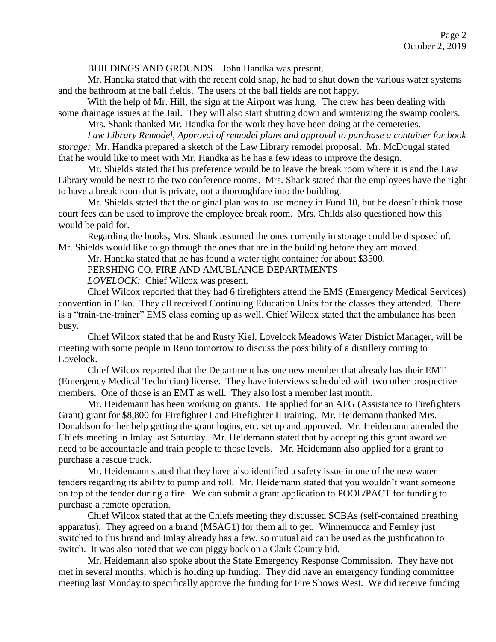BUILDINGS AND GROUNDS – John Handka was present.

Mr. Handka stated that with the recent cold snap, he had to shut down the various water systems and the bathroom at the ball fields. The users of the ball fields are not happy.

With the help of Mr. Hill, the sign at the Airport was hung. The crew has been dealing with some drainage issues at the Jail. They will also start shutting down and winterizing the swamp coolers.

Mrs. Shank thanked Mr. Handka for the work they have been doing at the cemeteries.

*Law Library Remodel, Approval of remodel plans and approval to purchase a container for book storage:* Mr. Handka prepared a sketch of the Law Library remodel proposal. Mr. McDougal stated that he would like to meet with Mr. Handka as he has a few ideas to improve the design.

Mr. Shields stated that his preference would be to leave the break room where it is and the Law Library would be next to the two conference rooms. Mrs. Shank stated that the employees have the right to have a break room that is private, not a thoroughfare into the building.

Mr. Shields stated that the original plan was to use money in Fund 10, but he doesn't think those court fees can be used to improve the employee break room. Mrs. Childs also questioned how this would be paid for.

Regarding the books, Mrs. Shank assumed the ones currently in storage could be disposed of. Mr. Shields would like to go through the ones that are in the building before they are moved.

Mr. Handka stated that he has found a water tight container for about \$3500.

PERSHING CO. FIRE AND AMUBLANCE DEPARTMENTS –

*LOVELOCK:* Chief Wilcox was present.

Chief Wilcox reported that they had 6 firefighters attend the EMS (Emergency Medical Services) convention in Elko. They all received Continuing Education Units for the classes they attended. There is a "train-the-trainer" EMS class coming up as well. Chief Wilcox stated that the ambulance has been busy.

Chief Wilcox stated that he and Rusty Kiel, Lovelock Meadows Water District Manager, will be meeting with some people in Reno tomorrow to discuss the possibility of a distillery coming to Lovelock.

Chief Wilcox reported that the Department has one new member that already has their EMT (Emergency Medical Technician) license. They have interviews scheduled with two other prospective members. One of those is an EMT as well. They also lost a member last month.

Mr. Heidemann has been working on grants. He applied for an AFG (Assistance to Firefighters Grant) grant for \$8,800 for Firefighter I and Firefighter II training. Mr. Heidemann thanked Mrs. Donaldson for her help getting the grant logins, etc. set up and approved. Mr. Heidemann attended the Chiefs meeting in Imlay last Saturday. Mr. Heidemann stated that by accepting this grant award we need to be accountable and train people to those levels. Mr. Heidemann also applied for a grant to purchase a rescue truck.

Mr. Heidemann stated that they have also identified a safety issue in one of the new water tenders regarding its ability to pump and roll. Mr. Heidemann stated that you wouldn't want someone on top of the tender during a fire. We can submit a grant application to POOL/PACT for funding to purchase a remote operation.

Chief Wilcox stated that at the Chiefs meeting they discussed SCBAs (self-contained breathing apparatus). They agreed on a brand (MSAG1) for them all to get. Winnemucca and Fernley just switched to this brand and Imlay already has a few, so mutual aid can be used as the justification to switch. It was also noted that we can piggy back on a Clark County bid.

Mr. Heidemann also spoke about the State Emergency Response Commission. They have not met in several months, which is holding up funding. They did have an emergency funding committee meeting last Monday to specifically approve the funding for Fire Shows West. We did receive funding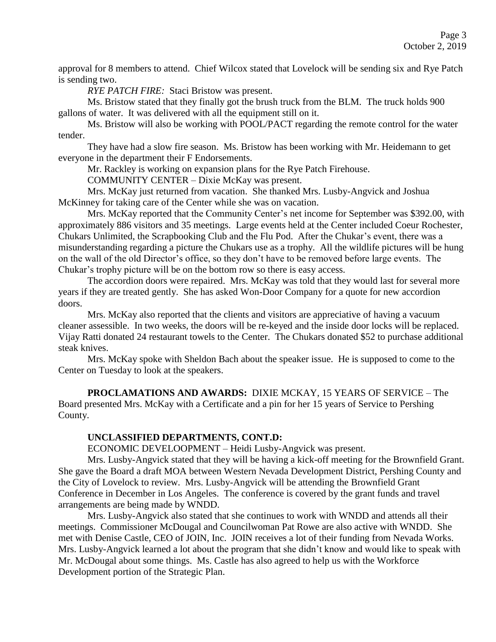approval for 8 members to attend. Chief Wilcox stated that Lovelock will be sending six and Rye Patch is sending two.

*RYE PATCH FIRE:* Staci Bristow was present.

Ms. Bristow stated that they finally got the brush truck from the BLM. The truck holds 900 gallons of water. It was delivered with all the equipment still on it.

Ms. Bristow will also be working with POOL/PACT regarding the remote control for the water tender.

They have had a slow fire season. Ms. Bristow has been working with Mr. Heidemann to get everyone in the department their F Endorsements.

Mr. Rackley is working on expansion plans for the Rye Patch Firehouse.

COMMUNITY CENTER – Dixie McKay was present.

Mrs. McKay just returned from vacation. She thanked Mrs. Lusby-Angvick and Joshua McKinney for taking care of the Center while she was on vacation.

 Mrs. McKay reported that the Community Center's net income for September was \$392.00, with approximately 886 visitors and 35 meetings. Large events held at the Center included Coeur Rochester, Chukars Unlimited, the Scrapbooking Club and the Flu Pod. After the Chukar's event, there was a misunderstanding regarding a picture the Chukars use as a trophy. All the wildlife pictures will be hung on the wall of the old Director's office, so they don't have to be removed before large events. The Chukar's trophy picture will be on the bottom row so there is easy access.

The accordion doors were repaired. Mrs. McKay was told that they would last for several more years if they are treated gently. She has asked Won-Door Company for a quote for new accordion doors.

Mrs. McKay also reported that the clients and visitors are appreciative of having a vacuum cleaner assessible. In two weeks, the doors will be re-keyed and the inside door locks will be replaced. Vijay Ratti donated 24 restaurant towels to the Center. The Chukars donated \$52 to purchase additional steak knives.

Mrs. McKay spoke with Sheldon Bach about the speaker issue. He is supposed to come to the Center on Tuesday to look at the speakers.

**PROCLAMATIONS AND AWARDS:** DIXIE MCKAY, 15 YEARS OF SERVICE – The Board presented Mrs. McKay with a Certificate and a pin for her 15 years of Service to Pershing County.

## **UNCLASSIFIED DEPARTMENTS, CONT.D:**

ECONOMIC DEVELOOPMENT – Heidi Lusby-Angvick was present.

Mrs. Lusby-Angvick stated that they will be having a kick-off meeting for the Brownfield Grant. She gave the Board a draft MOA between Western Nevada Development District, Pershing County and the City of Lovelock to review. Mrs. Lusby-Angvick will be attending the Brownfield Grant Conference in December in Los Angeles. The conference is covered by the grant funds and travel arrangements are being made by WNDD.

Mrs. Lusby-Angvick also stated that she continues to work with WNDD and attends all their meetings. Commissioner McDougal and Councilwoman Pat Rowe are also active with WNDD. She met with Denise Castle, CEO of JOIN, Inc. JOIN receives a lot of their funding from Nevada Works. Mrs. Lusby-Angvick learned a lot about the program that she didn't know and would like to speak with Mr. McDougal about some things. Ms. Castle has also agreed to help us with the Workforce Development portion of the Strategic Plan.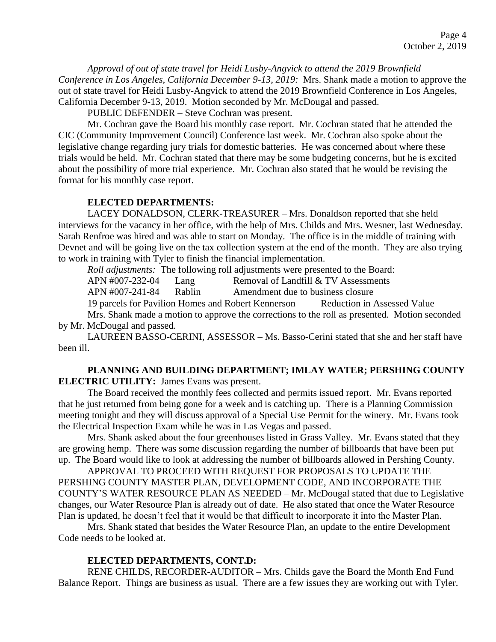*Approval of out of state travel for Heidi Lusby-Angvick to attend the 2019 Brownfield Conference in Los Angeles, California December 9-13, 2019:* Mrs. Shank made a motion to approve the out of state travel for Heidi Lusby-Angvick to attend the 2019 Brownfield Conference in Los Angeles, California December 9-13, 2019. Motion seconded by Mr. McDougal and passed.

PUBLIC DEFENDER – Steve Cochran was present.

Mr. Cochran gave the Board his monthly case report. Mr. Cochran stated that he attended the CIC (Community Improvement Council) Conference last week. Mr. Cochran also spoke about the legislative change regarding jury trials for domestic batteries. He was concerned about where these trials would be held. Mr. Cochran stated that there may be some budgeting concerns, but he is excited about the possibility of more trial experience. Mr. Cochran also stated that he would be revising the format for his monthly case report.

## **ELECTED DEPARTMENTS:**

LACEY DONALDSON, CLERK-TREASURER – Mrs. Donaldson reported that she held interviews for the vacancy in her office, with the help of Mrs. Childs and Mrs. Wesner, last Wednesday. Sarah Renfroe was hired and was able to start on Monday. The office is in the middle of training with Devnet and will be going live on the tax collection system at the end of the month. They are also trying to work in training with Tyler to finish the financial implementation.

*Roll adjustments:* The following roll adjustments were presented to the Board:

APN #007-232-04 Lang Removal of Landfill & TV Assessments

APN #007-241-84 Rablin Amendment due to business closure

19 parcels for Pavilion Homes and Robert Kennerson Reduction in Assessed Value

Mrs. Shank made a motion to approve the corrections to the roll as presented. Motion seconded by Mr. McDougal and passed.

LAUREEN BASSO-CERINI, ASSESSOR – Ms. Basso-Cerini stated that she and her staff have been ill.

# **PLANNING AND BUILDING DEPARTMENT; IMLAY WATER; PERSHING COUNTY ELECTRIC UTILITY:** James Evans was present.

The Board received the monthly fees collected and permits issued report. Mr. Evans reported that he just returned from being gone for a week and is catching up. There is a Planning Commission meeting tonight and they will discuss approval of a Special Use Permit for the winery. Mr. Evans took the Electrical Inspection Exam while he was in Las Vegas and passed.

Mrs. Shank asked about the four greenhouses listed in Grass Valley. Mr. Evans stated that they are growing hemp. There was some discussion regarding the number of billboards that have been put up. The Board would like to look at addressing the number of billboards allowed in Pershing County.

APPROVAL TO PROCEED WITH REQUEST FOR PROPOSALS TO UPDATE THE PERSHING COUNTY MASTER PLAN, DEVELOPMENT CODE, AND INCORPORATE THE COUNTY'S WATER RESOURCE PLAN AS NEEDED – Mr. McDougal stated that due to Legislative changes, our Water Resource Plan is already out of date. He also stated that once the Water Resource Plan is updated, he doesn't feel that it would be that difficult to incorporate it into the Master Plan.

Mrs. Shank stated that besides the Water Resource Plan, an update to the entire Development Code needs to be looked at.

# **ELECTED DEPARTMENTS, CONT.D:**

RENE CHILDS, RECORDER-AUDITOR – Mrs. Childs gave the Board the Month End Fund Balance Report. Things are business as usual. There are a few issues they are working out with Tyler.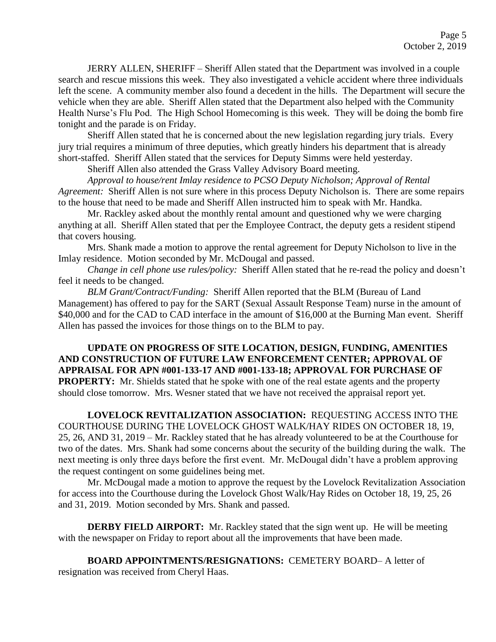JERRY ALLEN, SHERIFF – Sheriff Allen stated that the Department was involved in a couple search and rescue missions this week. They also investigated a vehicle accident where three individuals left the scene. A community member also found a decedent in the hills. The Department will secure the vehicle when they are able. Sheriff Allen stated that the Department also helped with the Community Health Nurse's Flu Pod. The High School Homecoming is this week. They will be doing the bomb fire tonight and the parade is on Friday.

Sheriff Allen stated that he is concerned about the new legislation regarding jury trials. Every jury trial requires a minimum of three deputies, which greatly hinders his department that is already short-staffed. Sheriff Allen stated that the services for Deputy Simms were held yesterday.

Sheriff Allen also attended the Grass Valley Advisory Board meeting.

*Approval to house/rent Imlay residence to PCSO Deputy Nicholson; Approval of Rental Agreement:* Sheriff Allen is not sure where in this process Deputy Nicholson is. There are some repairs to the house that need to be made and Sheriff Allen instructed him to speak with Mr. Handka.

Mr. Rackley asked about the monthly rental amount and questioned why we were charging anything at all. Sheriff Allen stated that per the Employee Contract, the deputy gets a resident stipend that covers housing.

Mrs. Shank made a motion to approve the rental agreement for Deputy Nicholson to live in the Imlay residence. Motion seconded by Mr. McDougal and passed.

*Change in cell phone use rules/policy:* Sheriff Allen stated that he re-read the policy and doesn't feel it needs to be changed.

*BLM Grant/Contract/Funding:* Sheriff Allen reported that the BLM (Bureau of Land Management) has offered to pay for the SART (Sexual Assault Response Team) nurse in the amount of \$40,000 and for the CAD to CAD interface in the amount of \$16,000 at the Burning Man event. Sheriff Allen has passed the invoices for those things on to the BLM to pay.

**UPDATE ON PROGRESS OF SITE LOCATION, DESIGN, FUNDING, AMENITIES AND CONSTRUCTION OF FUTURE LAW ENFORCEMENT CENTER; APPROVAL OF APPRAISAL FOR APN #001-133-17 AND #001-133-18; APPROVAL FOR PURCHASE OF PROPERTY:** Mr. Shields stated that he spoke with one of the real estate agents and the property should close tomorrow. Mrs. Wesner stated that we have not received the appraisal report yet.

**LOVELOCK REVITALIZATION ASSOCIATION:** REQUESTING ACCESS INTO THE COURTHOUSE DURING THE LOVELOCK GHOST WALK/HAY RIDES ON OCTOBER 18, 19, 25, 26, AND 31, 2019 – Mr. Rackley stated that he has already volunteered to be at the Courthouse for two of the dates. Mrs. Shank had some concerns about the security of the building during the walk. The next meeting is only three days before the first event. Mr. McDougal didn't have a problem approving the request contingent on some guidelines being met.

Mr. McDougal made a motion to approve the request by the Lovelock Revitalization Association for access into the Courthouse during the Lovelock Ghost Walk/Hay Rides on October 18, 19, 25, 26 and 31, 2019. Motion seconded by Mrs. Shank and passed.

**DERBY FIELD AIRPORT:** Mr. Rackley stated that the sign went up. He will be meeting with the newspaper on Friday to report about all the improvements that have been made.

**BOARD APPOINTMENTS/RESIGNATIONS:** CEMETERY BOARD– A letter of resignation was received from Cheryl Haas.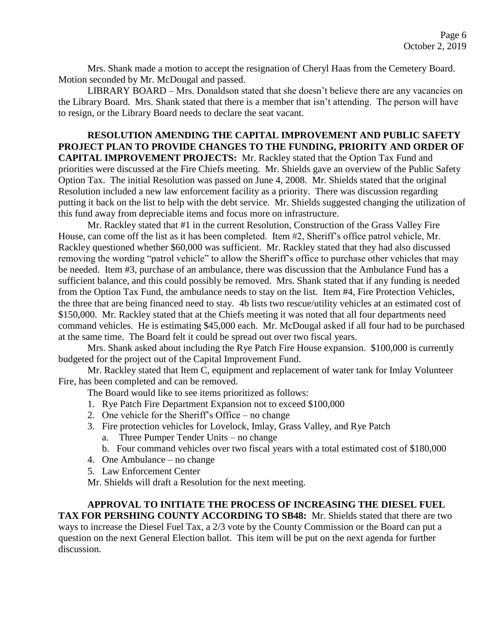Mrs. Shank made a motion to accept the resignation of Cheryl Haas from the Cemetery Board. Motion seconded by Mr. McDougal and passed.

LIBRARY BOARD – Mrs. Donaldson stated that she doesn't believe there are any vacancies on the Library Board. Mrs. Shank stated that there is a member that isn't attending. The person will have to resign, or the Library Board needs to declare the seat vacant.

**RESOLUTION AMENDING THE CAPITAL IMPROVEMENT AND PUBLIC SAFETY PROJECT PLAN TO PROVIDE CHANGES TO THE FUNDING, PRIORITY AND ORDER OF CAPITAL IMPROVEMENT PROJECTS:** Mr. Rackley stated that the Option Tax Fund and priorities were discussed at the Fire Chiefs meeting. Mr. Shields gave an overview of the Public Safety Option Tax. The initial Resolution was passed on June 4, 2008. Mr. Shields stated that the original Resolution included a new law enforcement facility as a priority. There was discussion regarding putting it back on the list to help with the debt service. Mr. Shields suggested changing the utilization of this fund away from depreciable items and focus more on infrastructure.

Mr. Rackley stated that #1 in the current Resolution, Construction of the Grass Valley Fire House, can come off the list as it has been completed. Item #2, Sheriff's office patrol vehicle, Mr. Rackley questioned whether \$60,000 was sufficient. Mr. Rackley stated that they had also discussed removing the wording "patrol vehicle" to allow the Sheriff's office to purchase other vehicles that may be needed. Item #3, purchase of an ambulance, there was discussion that the Ambulance Fund has a sufficient balance, and this could possibly be removed. Mrs. Shank stated that if any funding is needed from the Option Tax Fund, the ambulance needs to stay on the list. Item #4, Fire Protection Vehicles, the three that are being financed need to stay. 4b lists two rescue/utility vehicles at an estimated cost of \$150,000. Mr. Rackley stated that at the Chiefs meeting it was noted that all four departments need command vehicles. He is estimating \$45,000 each. Mr. McDougal asked if all four had to be purchased at the same time. The Board felt it could be spread out over two fiscal years.

Mrs. Shank asked about including the Rye Patch Fire House expansion. \$100,000 is currently budgeted for the project out of the Capital Improvement Fund.

Mr. Rackley stated that Item C, equipment and replacement of water tank for Imlay Volunteer Fire, has been completed and can be removed.

The Board would like to see items prioritized as follows:

- 1. Rye Patch Fire Department Expansion not to exceed \$100,000
- 2. One vehicle for the Sheriff's Office no change
- 3. Fire protection vehicles for Lovelock, Imlay, Grass Valley, and Rye Patch
	- a. Three Pumper Tender Units no change
	- b. Four command vehicles over two fiscal years with a total estimated cost of \$180,000
- 4. One Ambulance no change
- 5. Law Enforcement Center

Mr. Shields will draft a Resolution for the next meeting.

**APPROVAL TO INITIATE THE PROCESS OF INCREASING THE DIESEL FUEL TAX FOR PERSHING COUNTY ACCORDING TO SB48:** Mr. Shields stated that there are two ways to increase the Diesel Fuel Tax, a 2/3 vote by the County Commission or the Board can put a question on the next General Election ballot. This item will be put on the next agenda for further discussion.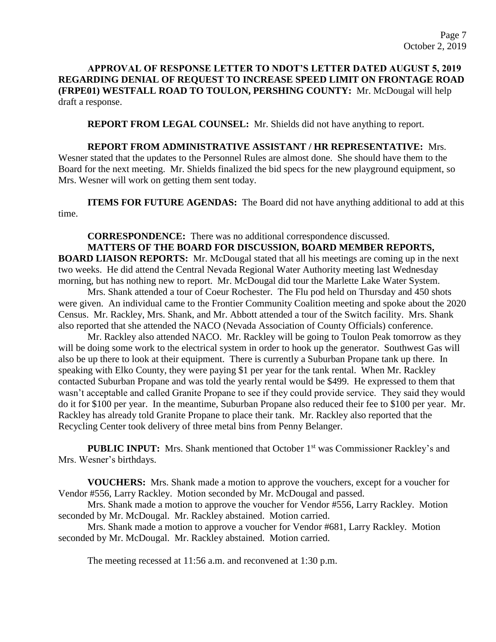# **APPROVAL OF RESPONSE LETTER TO NDOT'S LETTER DATED AUGUST 5, 2019 REGARDING DENIAL OF REQUEST TO INCREASE SPEED LIMIT ON FRONTAGE ROAD (FRPE01) WESTFALL ROAD TO TOULON, PERSHING COUNTY:** Mr. McDougal will help draft a response.

**REPORT FROM LEGAL COUNSEL:** Mr. Shields did not have anything to report.

# **REPORT FROM ADMINISTRATIVE ASSISTANT / HR REPRESENTATIVE:** Mrs. Wesner stated that the updates to the Personnel Rules are almost done. She should have them to the Board for the next meeting. Mr. Shields finalized the bid specs for the new playground equipment, so Mrs. Wesner will work on getting them sent today.

**ITEMS FOR FUTURE AGENDAS:** The Board did not have anything additional to add at this time.

### **CORRESPONDENCE:** There was no additional correspondence discussed.

**MATTERS OF THE BOARD FOR DISCUSSION, BOARD MEMBER REPORTS, BOARD LIAISON REPORTS:** Mr. McDougal stated that all his meetings are coming up in the next two weeks. He did attend the Central Nevada Regional Water Authority meeting last Wednesday morning, but has nothing new to report. Mr. McDougal did tour the Marlette Lake Water System.

Mrs. Shank attended a tour of Coeur Rochester. The Flu pod held on Thursday and 450 shots were given. An individual came to the Frontier Community Coalition meeting and spoke about the 2020 Census. Mr. Rackley, Mrs. Shank, and Mr. Abbott attended a tour of the Switch facility. Mrs. Shank also reported that she attended the NACO (Nevada Association of County Officials) conference.

Mr. Rackley also attended NACO. Mr. Rackley will be going to Toulon Peak tomorrow as they will be doing some work to the electrical system in order to hook up the generator. Southwest Gas will also be up there to look at their equipment. There is currently a Suburban Propane tank up there. In speaking with Elko County, they were paying \$1 per year for the tank rental. When Mr. Rackley contacted Suburban Propane and was told the yearly rental would be \$499. He expressed to them that wasn't acceptable and called Granite Propane to see if they could provide service. They said they would do it for \$100 per year. In the meantime, Suburban Propane also reduced their fee to \$100 per year. Mr. Rackley has already told Granite Propane to place their tank. Mr. Rackley also reported that the Recycling Center took delivery of three metal bins from Penny Belanger.

**PUBLIC INPUT:** Mrs. Shank mentioned that October 1<sup>st</sup> was Commissioner Rackley's and Mrs. Wesner's birthdays.

**VOUCHERS:** Mrs. Shank made a motion to approve the vouchers, except for a voucher for Vendor #556, Larry Rackley. Motion seconded by Mr. McDougal and passed.

Mrs. Shank made a motion to approve the voucher for Vendor #556, Larry Rackley. Motion seconded by Mr. McDougal. Mr. Rackley abstained. Motion carried.

Mrs. Shank made a motion to approve a voucher for Vendor #681, Larry Rackley. Motion seconded by Mr. McDougal. Mr. Rackley abstained. Motion carried.

The meeting recessed at 11:56 a.m. and reconvened at 1:30 p.m.